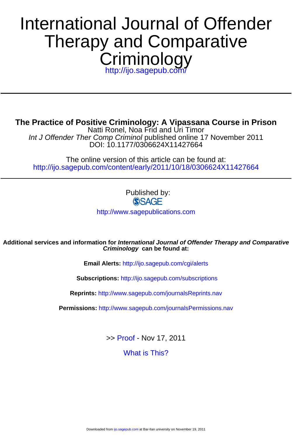# **Criminology** Therapy and Comparative International Journal of Offender

<http://ijo.sagepub.com/>

**The Practice of Positive Criminology: A Vipassana Course in Prison**

DOI: 10.1177/0306624X11427664 Int J Offender Ther Comp Criminol published online 17 November 2011 Natti Ronel, Noa Frid and Uri Timor

<http://ijo.sagepub.com/content/early/2011/10/18/0306624X11427664> The online version of this article can be found at:

Published by:<br>
SAGE

<http://www.sagepublications.com>

**Criminology can be found at: Additional services and information for International Journal of Offender Therapy and Comparative**

**Email Alerts:** <http://ijo.sagepub.com/cgi/alerts>

**Subscriptions:** <http://ijo.sagepub.com/subscriptions>

**Reprints:** <http://www.sagepub.com/journalsReprints.nav>

**Permissions:** <http://www.sagepub.com/journalsPermissions.nav>

>> [Proof -](http://ijo.sagepub.com/content/early/2011/10/18/0306624X11427664.full.pdf) Nov 17, 2011

[What is This?](http://online.sagepub.com/site/sphelp/vorhelp.xhtml)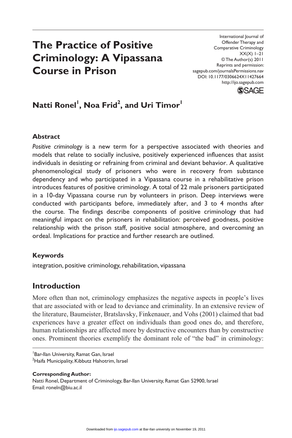## **The Practice of Positive Criminology: A Vipassana Course in Prison**

International Journal of Offender Therapy and Comparative Criminology  $XX(X)$  1–21 © The Author(s) 2011 Reprints and permission: sagepub.com/journalsPermissions.nav DOI: 10.1177/0306624X11427664 http://ijo.sagepub.com



### $\mathsf{N}$ atti Ronel<sup>1</sup>, Noa Frid<sup>2</sup>, and Uri Timor<sup>1</sup>

#### **Abstract**

*Positive criminology* is a new term for a perspective associated with theories and models that relate to socially inclusive, positively experienced influences that assist individuals in desisting or refraining from criminal and deviant behavior. A qualitative phenomenological study of prisoners who were in recovery from substance dependency and who participated in a Vipassana course in a rehabilitative prison introduces features of positive criminology. A total of 22 male prisoners participated in a 10-day Vipassana course run by volunteers in prison. Deep interviews were conducted with participants before, immediately after, and 3 to 4 months after the course. The findings describe components of positive criminology that had meaningful impact on the prisoners in rehabilitation: perceived goodness, positive relationship with the prison staff, positive social atmosphere, and overcoming an ordeal. Implications for practice and further research are outlined.

#### **Keywords**

integration, positive criminology, rehabilitation, vipassana

#### **Introduction**

More often than not, criminology emphasizes the negative aspects in people's lives that are associated with or lead to deviance and criminality. In an extensive review of the literature, Baumeister, Bratslavsky, Finkenauer, and Vohs (2001) claimed that bad experiences have a greater effect on individuals than good ones do, and therefore, human relationships are affected more by destructive encounters than by constructive ones. Prominent theories exemplify the dominant role of "the bad" in criminology:

**Corresponding Author:** Natti Ronel, Department of Criminology, Bar-Ilan University, Ramat Gan 52900, Israel Email: roneln@biu.ac.il

<sup>&</sup>lt;sup>1</sup> Bar-Ilan University, Ramat Gan, Israel  $^{2}$ Haifa Municipality, Kibbutz Hahotrim, Israel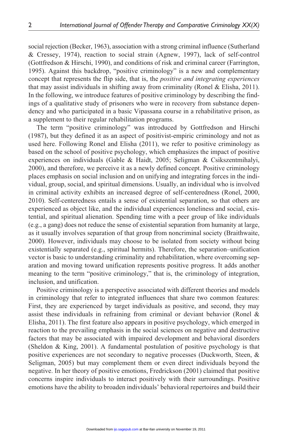social rejection (Becker, 1963), association with a strong criminal influence (Sutherland & Cressey, 1974), reaction to social strain (Agnew, 1997), lack of self-control (Gottfredson & Hirschi, 1990), and conditions of risk and criminal career (Farrington, 1995). Against this backdrop, "positive criminology" is a new and complementary concept that represents the flip side, that is, the *positive and integrating experiences* that may assist individuals in shifting away from criminality (Ronel & Elisha, 2011). In the following, we introduce features of positive criminology by describing the findings of a qualitative study of prisoners who were in recovery from substance dependency and who participated in a basic Vipassana course in a rehabilitative prison, as a supplement to their regular rehabilitation programs.

The term "positive criminology" was introduced by Gottfredson and Hirschi (1987), but they defined it as an aspect of positivist-empiric criminology and not as used here. Following Ronel and Elisha (2011), we refer to positive criminology as based on the school of positive psychology, which emphasizes the impact of positive experiences on individuals (Gable & Haidt, 2005; Seligman & Csikszentmihalyi, 2000), and therefore, we perceive it as a newly defined concept. Positive criminology places emphasis on social inclusion and on unifying and integrating forces in the individual, group, social, and spiritual dimensions. Usually, an individual who is involved in criminal activity exhibits an increased degree of self-centeredness (Ronel, 2000, 2010). Self-centeredness entails a sense of existential separation, so that others are experienced as object like, and the individual experiences loneliness and social, existential, and spiritual alienation. Spending time with a peer group of like individuals (e.g., a gang) does not reduce the sense of existential separation from humanity at large, as it usually involves separation of that group from noncriminal society (Braithwaite, 2000). However, individuals may choose to be isolated from society without being existentially separated (e.g., spiritual hermits). Therefore, the separation–unification vector is basic to understanding criminality and rehabilitation, where overcoming separation and moving toward unification represents positive progress. It adds another meaning to the term "positive criminology," that is, the criminology of integration, inclusion, and unification.

Positive criminology is a perspective associated with different theories and models in criminology that refer to integrated influences that share two common features: First, they are experienced by target individuals as positive, and second, they may assist these individuals in refraining from criminal or deviant behavior (Ronel & Elisha, 2011). The first feature also appears in positive psychology, which emerged in reaction to the prevailing emphasis in the social sciences on negative and destructive factors that may be associated with impaired development and behavioral disorders (Sheldon & King, 2001). A fundamental postulation of positive psychology is that positive experiences are not secondary to negative processes (Duckworth, Steen, & Seligman, 2005) but may complement them or even direct individuals beyond the negative. In her theory of positive emotions, Fredrickson (2001) claimed that positive concerns inspire individuals to interact positively with their surroundings. Positive emotions have the ability to broaden individuals' behavioral repertoires and build their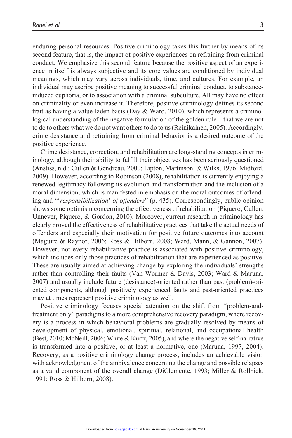enduring personal resources. Positive criminology takes this further by means of its second feature, that is, the impact of positive experiences on refraining from criminal conduct. We emphasize this second feature because the positive aspect of an experience in itself is always subjective and its core values are conditioned by individual meanings, which may vary across individuals, time, and cultures. For example, an individual may ascribe positive meaning to successful criminal conduct, to substanceinduced euphoria, or to association with a criminal subculture. All may have no effect on criminality or even increase it. Therefore, positive criminology defines its second trait as having a value-laden basis (Day & Ward, 2010), which represents a criminological understanding of the negative formulation of the golden rule—that we are not to do to others what we do not want others to do to us (Reinikainen, 2005). Accordingly, crime desistance and refraining from criminal behavior is a desired outcome of the positive experience.

Crime desistance, correction, and rehabilitation are long-standing concepts in criminology, although their ability to fulfill their objectives has been seriously questioned (Anstiss, n.d.; Cullen & Gendreau, 2000; Lipton, Martinson, & Wilks, 1976; Midford, 2009). However, according to Robinson (2008), rehabilitation is currently enjoying a renewed legitimacy following its evolution and transformation and the inclusion of a moral dimension, which is manifested in emphasis on the moral outcomes of offending and "'*responsibilization*' *of offenders*" (p. 435). Correspondingly, public opinion shows some optimism concerning the effectiveness of rehabilitation (Piquero, Cullen, Unnever, Piquero, & Gordon, 2010). Moreover, current research in criminology has clearly proved the effectiveness of rehabilitative practices that take the actual needs of offenders and especially their motivation for positive future outcomes into account (Maguire & Raynor, 2006; Ross & Hilborn, 2008; Ward, Mann, & Gannon, 2007). However, not every rehabilitative practice is associated with positive criminology, which includes only those practices of rehabilitation that are experienced as positive. These are usually aimed at achieving change by exploring the individuals' strengths rather than controlling their faults (Van Wormer & Davis, 2003; Ward & Maruna, 2007) and usually include future (desistance)-oriented rather than past (problem)-oriented components, although positively experienced faults and past-oriented practices may at times represent positive criminology as well.

Positive criminology focuses special attention on the shift from "problem-andtreatment only" paradigms to a more comprehensive recovery paradigm, where recovery is a process in which behavioral problems are gradually resolved by means of development of physical, emotional, spiritual, relational, and occupational health (Best, 2010; McNeill, 2006; White & Kurtz, 2005), and where the negative self-narrative is transformed into a positive, or at least a normative, one (Maruna, 1997, 2004). Recovery, as a positive criminology change process, includes an achievable vision with acknowledgment of the ambivalence concerning the change and possible relapses as a valid component of the overall change (DiClemente, 1993; Miller & Rollnick, 1991; Ross & Hilborn, 2008).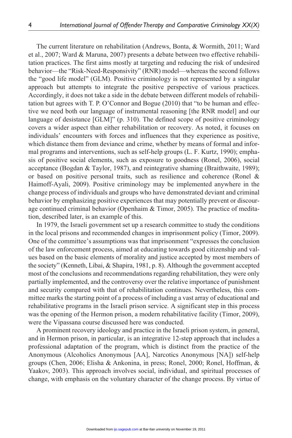The current literature on rehabilitation (Andrews, Bonta, & Wormith, 2011; Ward et al., 2007; Ward & Maruna, 2007) presents a debate between two effective rehabilitation practices. The first aims mostly at targeting and reducing the risk of undesired behavior—the "Risk-Need-Responsivity" (RNR) model—whereas the second follows the "good life model" (GLM). Positive criminology is not represented by a singular approach but attempts to integrate the positive perspective of various practices. Accordingly, it does not take a side in the debate between different models of rehabilitation but agrees with T. P. O'Connor and Bogue (2010) that "to be human and effective we need both our language of instrumental reasoning [the RNR model] and our language of desistance [GLM]" (p. 310). The defined scope of positive criminology covers a wider aspect than either rehabilitation or recovery. As noted, it focuses on individuals' encounters with forces and influences that they experience as positive, which distance them from deviance and crime, whether by means of formal and informal programs and interventions, such as self-help groups (L. F. Kurtz, 1990); emphasis of positive social elements, such as exposure to goodness (Ronel, 2006), social acceptance (Bogdan & Taylor, 1987), and reintegrative shaming (Braithwaite, 1989); or based on positive personal traits, such as resilience and coherence (Ronel & Haimoff-Ayali, 2009). Positive criminology may be implemented anywhere in the change process of individuals and groups who have demonstrated deviant and criminal behavior by emphasizing positive experiences that may potentially prevent or discourage continued criminal behavior (Openhaim & Timor, 2005). The practice of meditation, described later, is an example of this.

In 1979, the Israeli government set up a research committee to study the conditions in the local prisons and recommended changes in imprisonment policy (Timor, 2009). One of the committee's assumptions was that imprisonment "expresses the conclusion of the law enforcement process, aimed at educating towards good citizenship and values based on the basic elements of morality and justice accepted by most members of the society" (Kenneth, Libai, & Shapira, 1981, p. 8). Although the government accepted most of the conclusions and recommendations regarding rehabilitation, they were only partially implemented, and the controversy over the relative importance of punishment and security compared with that of rehabilitation continues. Nevertheless, this committee marks the starting point of a process of including a vast array of educational and rehabilitative programs in the Israeli prison service. A significant step in this process was the opening of the Hermon prison, a modern rehabilitative facility (Timor, 2009), were the Vipassana course discussed here was conducted.

A prominent recovery ideology and practice in the Israeli prison system, in general, and in Hermon prison, in particular, is an integrative 12-step approach that includes a professional adaptation of the program, which is distinct from the practice of the Anonymous (Alcoholics Anonymous [AA], Narcotics Anonymous [NA]) self-help groups (Chen, 2006; Elisha & Ankonina, in press; Ronel, 2000; Ronel, Hoffman, & Yaakov, 2003). This approach involves social, individual, and spiritual processes of change, with emphasis on the voluntary character of the change process. By virtue of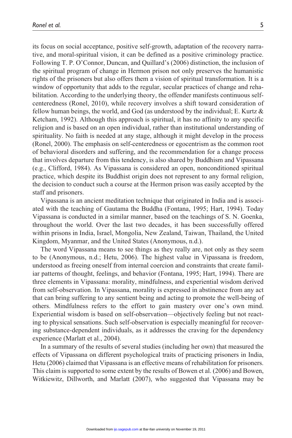its focus on social acceptance, positive self-growth, adaptation of the recovery narrative, and moral-spiritual vision, it can be defined as a positive criminology practice. Following T. P. O'Connor, Duncan, and Quillard's (2006) distinction, the inclusion of the spiritual program of change in Hermon prison not only preserves the humanistic rights of the prisoners but also offers them a vision of spiritual transformation. It is a window of opportunity that adds to the regular, secular practices of change and rehabilitation. According to the underlying theory, the offender manifests continuous selfcenteredness (Ronel, 2010), while recovery involves a shift toward consideration of fellow human beings, the world, and God (as understood by the individual; E. Kurtz & Ketcham, 1992). Although this approach is spiritual, it has no affinity to any specific religion and is based on an open individual, rather than institutional understanding of spirituality. No faith is needed at any stage, although it might develop in the process (Ronel, 2000). The emphasis on self-centeredness or egocentrism as the common root of behavioral disorders and suffering, and the recommendation for a change process that involves departure from this tendency, is also shared by Buddhism and Vipassana (e.g., Clifford, 1984). As Vipassana is considered an open, nonconditioned spiritual practice, which despite its Buddhist origin does not represent to any formal religion, the decision to conduct such a course at the Hermon prison was easily accepted by the staff and prisoners.

Vipassana is an ancient meditation technique that originated in India and is associated with the teaching of Gautama the Buddha (Fontana, 1995; Hart, 1994). Today Vipassana is conducted in a similar manner, based on the teachings of S. N. Goenka, throughout the world. Over the last two decades, it has been successfully offered within prisons in India, Israel, Mongolia, New Zealand, Taiwan, Thailand, the United Kingdom, Myanmar, and the United States (Anonymous, n.d.).

The word Vipassana means to see things as they really are, not only as they seem to be (Anonymous, n.d.; Hetu, 2006). The highest value in Vipassana is freedom, understood as freeing oneself from internal coercion and constraints that create familiar patterns of thought, feelings, and behavior (Fontana, 1995; Hart, 1994). There are three elements in Vipassana: morality, mindfulness, and experiential wisdom derived from self-observation. In Vipassana, morality is expressed in abstinence from any act that can bring suffering to any sentient being and acting to promote the well-being of others. Mindfulness refers to the effort to gain mastery over one's own mind. Experiential wisdom is based on self-observation—objectively feeling but not reacting to physical sensations. Such self-observation is especially meaningful for recovering substance-dependent individuals, as it addresses the craving for the dependency experience (Marlatt et al., 2004).

In a summary of the results of several studies (including her own) that measured the effects of Vipassana on different psychological traits of practicing prisoners in India, Hetu (2006) claimed that Vipassana is an effective means of rehabilitation for prisoners. This claim is supported to some extent by the results of Bowen et al. (2006) and Bowen, Witkiewitz, Dillworth, and Marlatt (2007), who suggested that Vipassana may be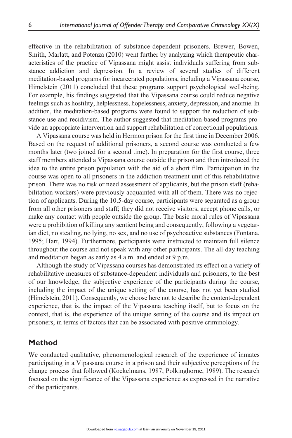effective in the rehabilitation of substance-dependent prisoners. Brewer, Bowen, Smith, Marlatt, and Potenza (2010) went further by analyzing which therapeutic characteristics of the practice of Vipassana might assist individuals suffering from substance addiction and depression. In a review of several studies of different meditation-based programs for incarcerated populations, including a Vipassana course, Himelstein (2011) concluded that these programs support psychological well-being. For example, his findings suggested that the Vipassana course could reduce negative feelings such as hostility, helplessness, hopelessness, anxiety, depression, and anomie. In addition, the meditation-based programs were found to support the reduction of substance use and recidivism. The author suggested that meditation-based programs provide an appropriate intervention and support rehabilitation of correctional populations.

A Vipassana course was held in Hermon prison for the first time in December 2006. Based on the request of additional prisoners, a second course was conducted a few months later (two joined for a second time). In preparation for the first course, three staff members attended a Vipassana course outside the prison and then introduced the idea to the entire prison population with the aid of a short film. Participation in the course was open to all prisoners in the addiction treatment unit of this rehabilitative prison. There was no risk or need assessment of applicants, but the prison staff (rehabilitation workers) were previously acquainted with all of them. There was no rejection of applicants. During the 10.5-day course, participants were separated as a group from all other prisoners and staff; they did not receive visitors, accept phone calls, or make any contact with people outside the group. The basic moral rules of Vipassana were a prohibition of killing any sentient being and consequently, following a vegetarian diet, no stealing, no lying, no sex, and no use of psychoactive substances (Fontana, 1995; Hart, 1994). Furthermore, participants were instructed to maintain full silence throughout the course and not speak with any other participants. The all-day teaching and meditation began as early as 4 a.m. and ended at 9 p.m.

Although the study of Vipassana courses has demonstrated its effect on a variety of rehabilitative measures of substance-dependent individuals and prisoners, to the best of our knowledge, the subjective experience of the participants during the course, including the impact of the unique setting of the course, has not yet been studied (Himelstein, 2011). Consequently, we choose here not to describe the content-dependent experience, that is, the impact of the Vipassana teaching itself, but to focus on the context, that is, the experience of the unique setting of the course and its impact on prisoners, in terms of factors that can be associated with positive criminology.

#### **Method**

We conducted qualitative, phenomenological research of the experience of inmates participating in a Vipassana course in a prison and their subjective perceptions of the change process that followed (Kockelmans, 1987; Polkinghorne, 1989). The research focused on the significance of the Vipassana experience as expressed in the narrative of the participants.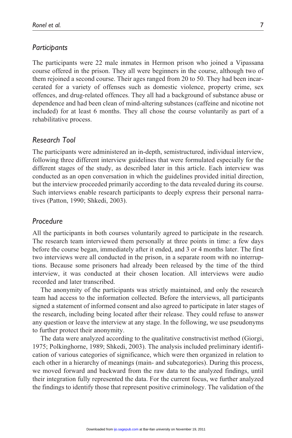#### *Participants*

The participants were 22 male inmates in Hermon prison who joined a Vipassana course offered in the prison. They all were beginners in the course, although two of them rejoined a second course. Their ages ranged from 20 to 50. They had been incarcerated for a variety of offenses such as domestic violence, property crime, sex offences, and drug-related offences. They all had a background of substance abuse or dependence and had been clean of mind-altering substances (caffeine and nicotine not included) for at least 6 months. They all chose the course voluntarily as part of a rehabilitative process.

#### *Research Tool*

The participants were administered an in-depth, semistructured, individual interview, following three different interview guidelines that were formulated especially for the different stages of the study, as described later in this article. Each interview was conducted as an open conversation in which the guidelines provided initial direction, but the interview proceeded primarily according to the data revealed during its course. Such interviews enable research participants to deeply express their personal narratives (Patton, 1990; Shkedi, 2003).

#### *Procedure*

All the participants in both courses voluntarily agreed to participate in the research. The research team interviewed them personally at three points in time: a few days before the course began, immediately after it ended, and 3 or 4 months later. The first two interviews were all conducted in the prison, in a separate room with no interruptions. Because some prisoners had already been released by the time of the third interview, it was conducted at their chosen location. All interviews were audio recorded and later transcribed.

The anonymity of the participants was strictly maintained, and only the research team had access to the information collected. Before the interviews, all participants signed a statement of informed consent and also agreed to participate in later stages of the research, including being located after their release. They could refuse to answer any question or leave the interview at any stage. In the following, we use pseudonyms to further protect their anonymity.

The data were analyzed according to the qualitative constructivist method (Giorgi, 1975; Polkinghorne, 1989; Shkedi, 2003). The analysis included preliminary identification of various categories of significance, which were then organized in relation to each other in a hierarchy of meanings (main- and subcategories). During this process, we moved forward and backward from the raw data to the analyzed findings, until their integration fully represented the data. For the current focus, we further analyzed the findings to identify those that represent positive criminology. The validation of the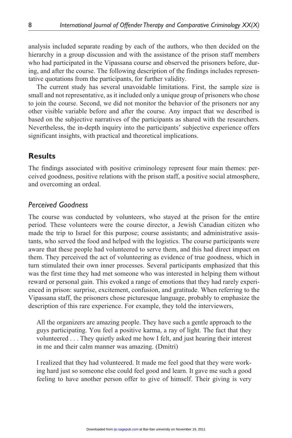analysis included separate reading by each of the authors, who then decided on the hierarchy in a group discussion and with the assistance of the prison staff members who had participated in the Vipassana course and observed the prisoners before, during, and after the course. The following description of the findings includes representative quotations from the participants, for further validity.

The current study has several unavoidable limitations. First, the sample size is small and not representative, as it included only a unique group of prisoners who chose to join the course. Second, we did not monitor the behavior of the prisoners nor any other visible variable before and after the course. Any impact that we described is based on the subjective narratives of the participants as shared with the researchers. Nevertheless, the in-depth inquiry into the participants' subjective experience offers significant insights, with practical and theoretical implications.

#### **Results**

The findings associated with positive criminology represent four main themes: perceived goodness, positive relations with the prison staff, a positive social atmosphere, and overcoming an ordeal.

#### *Perceived Goodness*

The course was conducted by volunteers, who stayed at the prison for the entire period. These volunteers were the course director, a Jewish Canadian citizen who made the trip to Israel for this purpose; course assistants; and administrative assistants, who served the food and helped with the logistics. The course participants were aware that these people had volunteered to serve them, and this had direct impact on them. They perceived the act of volunteering as evidence of true goodness, which in turn stimulated their own inner processes. Several participants emphasized that this was the first time they had met someone who was interested in helping them without reward or personal gain. This evoked a range of emotions that they had rarely experienced in prison: surprise, excitement, confusion, and gratitude. When referring to the Vipassana staff, the prisoners chose picturesque language, probably to emphasize the description of this rare experience. For example, they told the interviewers,

All the organizers are amazing people. They have such a gentle approach to the guys participating. You feel a positive karma, a ray of light. The fact that they volunteered . . . They quietly asked me how I felt, and just hearing their interest in me and their calm manner was amazing. (Dmitri)

I realized that they had volunteered. It made me feel good that they were working hard just so someone else could feel good and learn. It gave me such a good feeling to have another person offer to give of himself. Their giving is very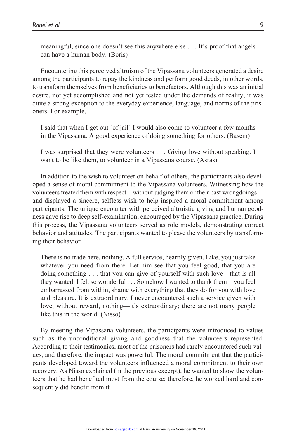meaningful, since one doesn't see this anywhere else . . . It's proof that angels can have a human body. (Boris)

Encountering this perceived altruism of the Vipassana volunteers generated a desire among the participants to repay the kindness and perform good deeds, in other words, to transform themselves from beneficiaries to benefactors. Although this was an initial desire, not yet accomplished and not yet tested under the demands of reality, it was quite a strong exception to the everyday experience, language, and norms of the prisoners. For example,

I said that when I get out [of jail] I would also come to volunteer a few months in the Vipassana. A good experience of doing something for others. (Basem)

I was surprised that they were volunteers . . . Giving love without speaking. I want to be like them, to volunteer in a Vipassana course. (Asras)

In addition to the wish to volunteer on behalf of others, the participants also developed a sense of moral commitment to the Vipassana volunteers. Witnessing how the volunteers treated them with respect—without judging them or their past wrongdoings and displayed a sincere, selfless wish to help inspired a moral commitment among participants. The unique encounter with perceived altruistic giving and human goodness gave rise to deep self-examination, encouraged by the Vipassana practice. During this process, the Vipassana volunteers served as role models, demonstrating correct behavior and attitudes. The participants wanted to please the volunteers by transforming their behavior.

There is no trade here, nothing. A full service, heartily given. Like, you just take whatever you need from there. Let him see that you feel good, that you are doing something . . . that you can give of yourself with such love—that is all they wanted. I felt so wonderful . . . Somehow I wanted to thank them—you feel embarrassed from within, shame with everything that they do for you with love and pleasure. It is extraordinary. I never encountered such a service given with love, without reward, nothing—it's extraordinary; there are not many people like this in the world. (Nisso)

By meeting the Vipassana volunteers, the participants were introduced to values such as the unconditional giving and goodness that the volunteers represented. According to their testimonies, most of the prisoners had rarely encountered such values, and therefore, the impact was powerful. The moral commitment that the participants developed toward the volunteers influenced a moral commitment to their own recovery. As Nisso explained (in the previous excerpt), he wanted to show the volunteers that he had benefited most from the course; therefore, he worked hard and consequently did benefit from it.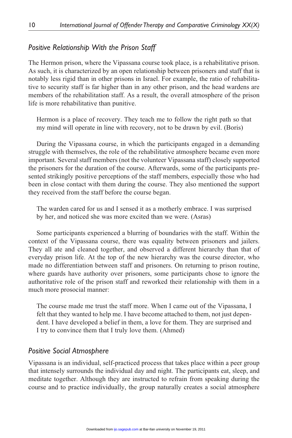#### *Positive Relationship With the Prison Staff*

The Hermon prison, where the Vipassana course took place, is a rehabilitative prison. As such, it is characterized by an open relationship between prisoners and staff that is notably less rigid than in other prisons in Israel. For example, the ratio of rehabilitative to security staff is far higher than in any other prison, and the head wardens are members of the rehabilitation staff. As a result, the overall atmosphere of the prison life is more rehabilitative than punitive.

Hermon is a place of recovery. They teach me to follow the right path so that my mind will operate in line with recovery, not to be drawn by evil. (Boris)

During the Vipassana course, in which the participants engaged in a demanding struggle with themselves, the role of the rehabilitative atmosphere became even more important. Several staff members (not the volunteer Vipassana staff) closely supported the prisoners for the duration of the course. Afterwards, some of the participants presented strikingly positive perceptions of the staff members, especially those who had been in close contact with them during the course. They also mentioned the support they received from the staff before the course began.

The warden cared for us and I sensed it as a motherly embrace. I was surprised by her, and noticed she was more excited than we were. (Asras)

Some participants experienced a blurring of boundaries with the staff. Within the context of the Vipassana course, there was equality between prisoners and jailers. They all ate and cleaned together, and observed a different hierarchy than that of everyday prison life. At the top of the new hierarchy was the course director, who made no differentiation between staff and prisoners. On returning to prison routine, where guards have authority over prisoners, some participants chose to ignore the authoritative role of the prison staff and reworked their relationship with them in a much more prosocial manner:

The course made me trust the staff more. When I came out of the Vipassana, I felt that they wanted to help me. I have become attached to them, not just dependent. I have developed a belief in them, a love for them. They are surprised and I try to convince them that I truly love them. (Ahmed)

#### *Positive Social Atmosphere*

Vipassana is an individual, self-practiced process that takes place within a peer group that intensely surrounds the individual day and night. The participants eat, sleep, and meditate together. Although they are instructed to refrain from speaking during the course and to practice individually, the group naturally creates a social atmosphere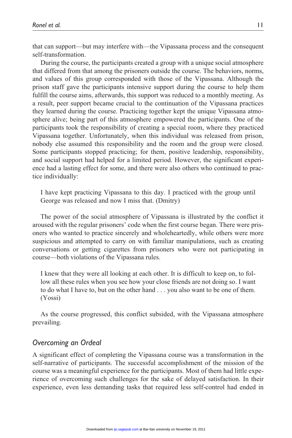that can support—but may interfere with—the Vipassana process and the consequent self-transformation.

During the course, the participants created a group with a unique social atmosphere that differed from that among the prisoners outside the course. The behaviors, norms, and values of this group corresponded with those of the Vipassana. Although the prison staff gave the participants intensive support during the course to help them fulfill the course aims, afterwards, this support was reduced to a monthly meeting. As a result, peer support became crucial to the continuation of the Vipassana practices they learned during the course. Practicing together kept the unique Vipassana atmosphere alive; being part of this atmosphere empowered the participants. One of the participants took the responsibility of creating a special room, where they practiced Vipassana together. Unfortunately, when this individual was released from prison, nobody else assumed this responsibility and the room and the group were closed. Some participants stopped practicing; for them, positive leadership, responsibility, and social support had helped for a limited period. However, the significant experience had a lasting effect for some, and there were also others who continued to practice individually:

I have kept practicing Vipassana to this day. I practiced with the group until George was released and now I miss that. (Dmitry)

The power of the social atmosphere of Vipassana is illustrated by the conflict it aroused with the regular prisoners' code when the first course began. There were prisoners who wanted to practice sincerely and wholeheartedly, while others were more suspicious and attempted to carry on with familiar manipulations, such as creating conversations or getting cigarettes from prisoners who were not participating in course—both violations of the Vipassana rules.

I knew that they were all looking at each other. It is difficult to keep on, to follow all these rules when you see how your close friends are not doing so. I want to do what I have to, but on the other hand . . . you also want to be one of them. (Yossi)

As the course progressed, this conflict subsided, with the Vipassana atmosphere prevailing.

#### *Overcoming an Ordeal*

A significant effect of completing the Vipassana course was a transformation in the self-narrative of participants. The successful accomplishment of the mission of the course was a meaningful experience for the participants. Most of them had little experience of overcoming such challenges for the sake of delayed satisfaction. In their experience, even less demanding tasks that required less self-control had ended in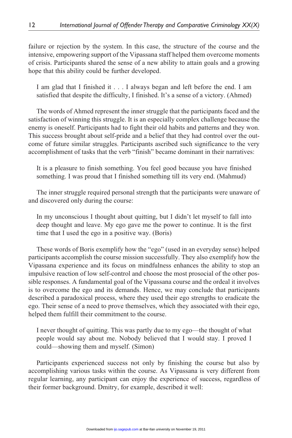failure or rejection by the system. In this case, the structure of the course and the intensive, empowering support of the Vipassana staff helped them overcome moments of crisis. Participants shared the sense of a new ability to attain goals and a growing hope that this ability could be further developed.

I am glad that I finished it . . . I always began and left before the end. I am satisfied that despite the difficulty, I finished. It's a sense of a victory. (Ahmed)

The words of Ahmed represent the inner struggle that the participants faced and the satisfaction of winning this struggle. It is an especially complex challenge because the enemy is oneself. Participants had to fight their old habits and patterns and they won. This success brought about self-pride and a belief that they had control over the outcome of future similar struggles. Participants ascribed such significance to the very accomplishment of tasks that the verb "finish" became dominant in their narratives:

It is a pleasure to finish something. You feel good because you have finished something. I was proud that I finished something till its very end. (Mahmud)

The inner struggle required personal strength that the participants were unaware of and discovered only during the course:

In my unconscious I thought about quitting, but I didn't let myself to fall into deep thought and leave. My ego gave me the power to continue. It is the first time that I used the ego in a positive way. (Boris)

These words of Boris exemplify how the "ego" (used in an everyday sense) helped participants accomplish the course mission successfully. They also exemplify how the Vipassana experience and its focus on mindfulness enhances the ability to stop an impulsive reaction of low self-control and choose the most prosocial of the other possible responses. A fundamental goal of the Vipassana course and the ordeal it involves is to overcome the ego and its demands. Hence, we may conclude that participants described a paradoxical process, where they used their ego strengths to eradicate the ego. Their sense of a need to prove themselves, which they associated with their ego, helped them fulfill their commitment to the course.

I never thought of quitting. This was partly due to my ego—the thought of what people would say about me. Nobody believed that I would stay. I proved I could—showing them and myself. (Simon)

Participants experienced success not only by finishing the course but also by accomplishing various tasks within the course. As Vipassana is very different from regular learning, any participant can enjoy the experience of success, regardless of their former background. Dmitry, for example, described it well: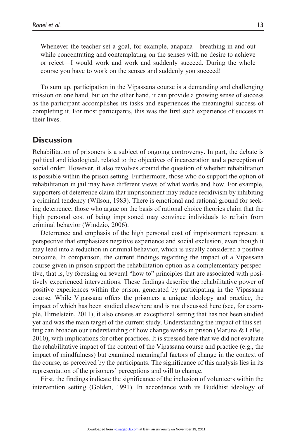Whenever the teacher set a goal, for example, anapana—breathing in and out while concentrating and contemplating on the senses with no desire to achieve or reject—I would work and work and suddenly succeed. During the whole course you have to work on the senses and suddenly you succeed!

To sum up, participation in the Vipassana course is a demanding and challenging mission on one hand, but on the other hand, it can provide a growing sense of success as the participant accomplishes its tasks and experiences the meaningful success of completing it. For most participants, this was the first such experience of success in their lives.

#### **Discussion**

Rehabilitation of prisoners is a subject of ongoing controversy. In part, the debate is political and ideological, related to the objectives of incarceration and a perception of social order. However, it also revolves around the question of whether rehabilitation is possible within the prison setting. Furthermore, those who do support the option of rehabilitation in jail may have different views of what works and how. For example, supporters of deterrence claim that imprisonment may reduce recidivism by inhibiting a criminal tendency (Wilson, 1983). There is emotional and rational ground for seeking deterrence; those who argue on the basis of rational choice theories claim that the high personal cost of being imprisoned may convince individuals to refrain from criminal behavior (Windzio, 2006).

Deterrence and emphasis of the high personal cost of imprisonment represent a perspective that emphasizes negative experience and social exclusion, even though it may lead into a reduction in criminal behavior, which is usually considered a positive outcome. In comparison, the current findings regarding the impact of a Vipassana course given in prison support the rehabilitation option as a complementary perspective, that is, by focusing on several "how to" principles that are associated with positively experienced interventions. These findings describe the rehabilitative power of positive experiences within the prison, generated by participating in the Vipassana course. While Vipassana offers the prisoners a unique ideology and practice, the impact of which has been studied elsewhere and is not discussed here (see, for example, Himelstein, 2011), it also creates an exceptional setting that has not been studied yet and was the main target of the current study. Understanding the impact of this setting can broaden our understanding of how change works in prison (Maruna & LeBel, 2010), with implications for other practices. It is stressed here that we did not evaluate the rehabilitative impact of the content of the Vipassana course and practice (e.g., the impact of mindfulness) but examined meaningful factors of change in the context of the course, as perceived by the participants. The significance of this analysis lies in its representation of the prisoners' perceptions and will to change.

First, the findings indicate the significance of the inclusion of volunteers within the intervention setting (Golden, 1991). In accordance with its Buddhist ideology of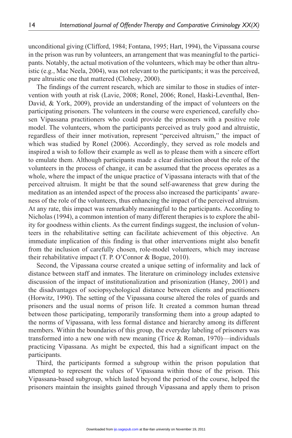unconditional giving (Clifford, 1984; Fontana, 1995; Hart, 1994), the Vipassana course in the prison was run by volunteers, an arrangement that was meaningful to the participants. Notably, the actual motivation of the volunteers, which may be other than altruistic (e.g., Mac Neela, 2004), was not relevant to the participants; it was the perceived, pure altruistic one that mattered (Clohesy, 2000).

The findings of the current research, which are similar to those in studies of intervention with youth at risk (Lavie, 2008; Ronel, 2006; Ronel, Haski-Leventhal, Ben-David, & York, 2009), provide an understanding of the impact of volunteers on the participating prisoners. The volunteers in the course were experienced, carefully chosen Vipassana practitioners who could provide the prisoners with a positive role model. The volunteers, whom the participants perceived as truly good and altruistic, regardless of their inner motivation, represent "perceived altruism," the impact of which was studied by Ronel (2006). Accordingly, they served as role models and inspired a wish to follow their example as well as to please them with a sincere effort to emulate them. Although participants made a clear distinction about the role of the volunteers in the process of change, it can be assumed that the process operates as a whole, where the impact of the unique practice of Vipassana interacts with that of the perceived altruism. It might be that the sound self-awareness that grew during the meditation as an intended aspect of the process also increased the participants' awareness of the role of the volunteers, thus enhancing the impact of the perceived altruism. At any rate, this impact was remarkably meaningful to the participants. According to Nicholas (1994), a common intention of many different therapies is to explore the ability for goodness within clients. As the current findings suggest, the inclusion of volunteers in the rehabilitative setting can facilitate achievement of this objective. An immediate implication of this finding is that other interventions might also benefit from the inclusion of carefully chosen, role-model volunteers, which may increase their rehabilitative impact (T. P. O'Connor & Bogue, 2010).

Second, the Vipassana course created a unique setting of informality and lack of distance between staff and inmates. The literature on criminology includes extensive discussion of the impact of institutionalization and prisonization (Haney, 2001) and the disadvantages of sociopsychological distance between clients and practitioners (Horwitz, 1990). The setting of the Vipassana course altered the roles of guards and prisoners and the usual norms of prison life. It created a common human thread between those participating, temporarily transforming them into a group adapted to the norms of Vipassana, with less formal distance and hierarchy among its different members. Within the boundaries of this group, the everyday labeling of prisoners was transformed into a new one with new meaning (Trice  $& Roman, 1970$ )—individuals practicing Vipassana. As might be expected, this had a significant impact on the participants.

Third, the participants formed a subgroup within the prison population that attempted to represent the values of Vipassana within those of the prison. This Vipassana-based subgroup, which lasted beyond the period of the course, helped the prisoners maintain the insights gained through Vipassana and apply them to prison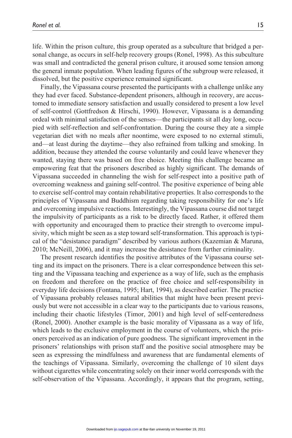life. Within the prison culture, this group operated as a subculture that bridged a personal change, as occurs in self-help recovery groups (Ronel, 1998). As this subculture was small and contradicted the general prison culture, it aroused some tension among the general inmate population. When leading figures of the subgroup were released, it dissolved, but the positive experience remained significant.

Finally, the Vipassana course presented the participants with a challenge unlike any they had ever faced. Substance-dependent prisoners, although in recovery, are accustomed to immediate sensory satisfaction and usually considered to present a low level of self-control (Gottfredson & Hirschi, 1990). However, Vipassana is a demanding ordeal with minimal satisfaction of the senses—the participants sit all day long, occupied with self-reflection and self-confrontation. During the course they ate a simple vegetarian diet with no meals after noontime, were exposed to no external stimuli, and—at least during the daytime—they also refrained from talking and smoking. In addition, because they attended the course voluntarily and could leave whenever they wanted, staying there was based on free choice. Meeting this challenge became an empowering feat that the prisoners described as highly significant. The demands of Vipassana succeeded in channeling the wish for self-respect into a positive path of overcoming weakness and gaining self-control. The positive experience of being able to exercise self-control may contain rehabilitative properties. It also corresponds to the principles of Vipassana and Buddhism regarding taking responsibility for one's life and overcoming impulsive reactions. Interestingly, the Vipassana course did not target the impulsivity of participants as a risk to be directly faced. Rather, it offered them with opportunity and encouraged them to practice their strength to overcome impulsivity, which might be seen as a step toward self-transformation. This approach is typical of the "desistance paradigm" described by various authors (Kazemian & Maruna, 2010; McNeill, 2006), and it may increase the desistance from further criminality.

The present research identifies the positive attributes of the Vipassana course setting and its impact on the prisoners. There is a clear correspondence between this setting and the Vipassana teaching and experience as a way of life, such as the emphasis on freedom and therefore on the practice of free choice and self-responsibility in everyday life decisions (Fontana, 1995; Hart, 1994), as described earlier. The practice of Vipassana probably releases natural abilities that might have been present previously but were not accessible in a clear way to the participants due to various reasons, including their chaotic lifestyles (Timor, 2001) and high level of self-centeredness (Ronel, 2000). Another example is the basic morality of Vipassana as a way of life, which leads to the exclusive employment in the course of volunteers, which the prisoners perceived as an indication of pure goodness. The significant improvement in the prisoners' relationships with prison staff and the positive social atmosphere may be seen as expressing the mindfulness and awareness that are fundamental elements of the teachings of Vipassana. Similarly, overcoming the challenge of 10 silent days without cigarettes while concentrating solely on their inner world corresponds with the self-observation of the Vipassana. Accordingly, it appears that the program, setting,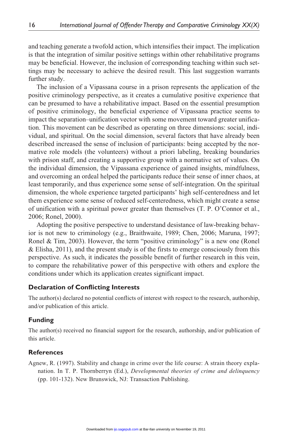and teaching generate a twofold action, which intensifies their impact. The implication is that the integration of similar positive settings within other rehabilitative programs may be beneficial. However, the inclusion of corresponding teaching within such settings may be necessary to achieve the desired result. This last suggestion warrants further study.

The inclusion of a Vipassana course in a prison represents the application of the positive criminology perspective, as it creates a cumulative positive experience that can be presumed to have a rehabilitative impact. Based on the essential presumption of positive criminology, the beneficial experience of Vipassana practice seems to impact the separation–unification vector with some movement toward greater unification. This movement can be described as operating on three dimensions: social, individual, and spiritual. On the social dimension, several factors that have already been described increased the sense of inclusion of participants: being accepted by the normative role models (the volunteers) without a priori labeling, breaking boundaries with prison staff, and creating a supportive group with a normative set of values. On the individual dimension, the Vipassana experience of gained insights, mindfulness, and overcoming an ordeal helped the participants reduce their sense of inner chaos, at least temporarily, and thus experience some sense of self-integration. On the spiritual dimension, the whole experience targeted participants' high self-centeredness and let them experience some sense of reduced self-centeredness, which might create a sense of unification with a spiritual power greater than themselves (T. P. O'Connor et al., 2006; Ronel, 2000).

Adopting the positive perspective to understand desistance of law-breaking behavior is not new to criminology (e.g., Braithwaite, 1989; Chen, 2006; Maruna, 1997; Ronel & Tim, 2003). However, the term "positive criminology" is a new one (Ronel & Elisha, 2011), and the present study is of the firsts to emerge consciously from this perspective. As such, it indicates the possible benefit of further research in this vein, to compare the rehabilitative power of this perspective with others and explore the conditions under which its application creates significant impact.

#### **Declaration of Conflicting Interests**

The author(s) declared no potential conflicts of interest with respect to the research, authorship, and/or publication of this article.

#### **Funding**

The author(s) received no financial support for the research, authorship, and/or publication of this article.

#### **References**

Agnew, R. (1997). Stability and change in crime over the life course: A strain theory explanation. In T. P. Thornberryn (Ed.), *Developmental theories of crime and delinquency* (pp. 101-132). New Brunswick, NJ: Transaction Publishing.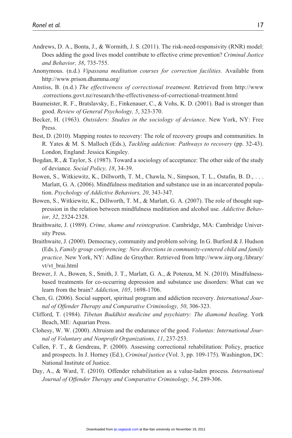- Andrews, D. A., Bonta, J., & Wormith, J. S. (2011). The risk-need-responsivity (RNR) model: Does adding the good lives model contribute to effective crime prevention? *Criminal Justice and Behavior, 38*, 735-755.
- Anonymous. (n.d.) *Vipassana meditation courses for correction facilities.* Available from http://www.prison.dhamma.org/
- Anstiss, B. (n.d.) *The effectiveness of correctional treatment.* Retrieved from http://www .corrections.govt.nz/research/the-effectiveness-of-correctional-treatment.html
- Baumeister, R. F., Bratslavsky, E., Finkenauer, C., & Vohs, K. D. (2001). Bad is stronger than good. *Review of General Psychology, 5*, 323-370.
- Becker, H. (1963). *Outsiders: Studies in the sociology of deviance*. New York, NY: Free Press.
- Best, D. (2010). Mapping routes to recovery: The role of recovery groups and communities. In R. Yates & M. S. Malloch (Eds.), *Tackling addiction: Pathways to recovery* (pp. 32-43). London, England: Jessica Kingsley.
- Bogdan, R., & Taylor, S. (1987). Toward a sociology of acceptance: The other side of the study of deviance. *Social Policy, 18*, 34-39.
- Bowen, S., Witkiewitz, K., Dillworth, T. M., Chawla, N., Simpson, T. L., Ostafin, B. D., . . . Marlatt, G. A. (2006). Mindfulness meditation and substance use in an incarcerated population. *Psychology of Addictive Behaviors, 20*, 343-347.
- Bowen, S., Witkiewitz, K., Dillworth, T. M., & Marlatt, G. A. (2007). The role of thought suppression in the relation between mindfulness meditation and alcohol use. *Addictive Behavior, 32*, 2324-2328.
- Braithwaite, J. (1989). *Crime, shame and reintegration*. Cambridge, MA: Cambridge University Press.
- Braithwaite, J. (2000). Democracy, community and problem solving. In G. Burford & J. Hudson (Eds.), *Family group conferencing: New directions in community-centered child and family practice.* New York, NY: Adline de Gruyther. Retrieved from http://www.iirp.org./library/ vt/vt\_brai.html
- Brewer, J. A., Bowen, S., Smith, J. T., Marlatt, G. A., & Potenza, M. N. (2010). Mindfulnessbased treatments for co-occurring depression and substance use disorders: What can we learn from the brain? *Addiction, 105*, 1698-1706.
- Chen, G. (2006). Social support, spiritual program and addiction recovery. *International Journal of Offender Therapy and Comparative Criminology, 50*, 306-323.
- Clifford, T. (1984). *Tibetan Buddhist medicine and psychiatry: The diamond healing*. York Beach, ME: Aquarian Press.
- Clohesy, W. W. (2000). Altruism and the endurance of the good. *Voluntas: International Journal of Voluntary and Nonprofit Organizations, 11*, 237-253.
- Cullen, F. T., & Gendreau, P. (2000). Assessing correctional rehabilitation: Policy, practice and prospects. In J. Horney (Ed.), *Criminal justice* (Vol. 3, pp. 109-175). Washington, DC: National Institute of Justice.
- Day, A., & Ward, T. (2010). Offender rehabilitation as a value-laden process. *International Journal of Offender Therapy and Comparative Criminology, 54*, 289-306.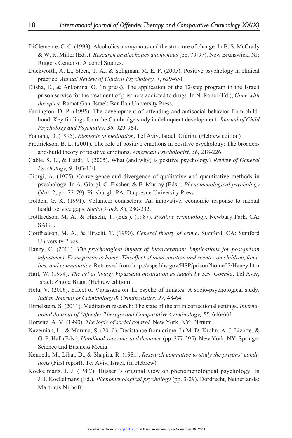- DiClemente, C. C. (1993). Alcoholics anonymous and the structure of change. In B. S. McCrady & W. R. Miller (Eds.), *Research on alcoholics anonymous* (pp. 79-97). New Brunswick, NJ: Rutgers Center of Alcohol Studies.
- Duckworth, A. L., Steen, T. A., & Seligman, M. E. P. (2005). Positive psychology in clinical practice. *Annual Review of Clinical Psychology, 1*, 629-651.
- Elisha, E., & Ankonina, O. (in press). The application of the 12-step program in the Israeli prison service for the treatment of prisoners addicted to drugs. In N. Ronel (Ed.), *Gone with the spirit*. Ramat Gan, Israel: Bar-Ilan University Press.
- Farrington, D. P. (1995). The development of offending and antisocial behavior from childhood: Key findings from the Cambridge study in delinquent development. *Journal of Child Psychology and Psychiatry, 36*, 929-964.
- Fontana, D. (1995). *Elements of meditation*. Tel Aviv, Israel: Ofarim. (Hebrew edition)
- Fredrickson, B. L. (2001). The role of positive emotions in positive psychology: The broadenand-build theory of positive emotions. *American Psychologist, 56*, 218-226.
- Gable, S. L., & Haidt, J. (2005). What (and why) is positive psychology? *Review of General Psychology, 9*, 103-110.
- Giorgi, A. (1975). Convergence and divergence of qualitative and quantitative methods in psychology. In A. Giorgi, C. Fischer, & E. Murray (Eds.), *Phenomenological psychology* (Vol. 2, pp. 72-79). Pittsburgh, PA: Duquesne University Press.
- Golden, G. K. (1991). Volunteer counselors: An innovative, economic response to mental health service gaps. *Social Work, 36*, 230-232.
- Gottfredson, M. A., & Hirschi, T. (Eds.). (1987). *Positive criminology*. Newbury Park, CA: SAGE.
- Gottfredson, M. A., & Hirschi, T. (1990). *General theory of crime*. Stanford, CA: Stanford University Press.
- Haney, C. (2001). *The psychological impact of incarceration: Implications for post-prison adjustment. From prison to home: The effect of incarceration and reentry on children, families, and communities.* Retrieved from http://aspe.hhs.gov/HSP/prison2home02/Haney.htm
- Hart, W. (1994). *The art of living: Vipassana meditation as taught by S.N. Goenka*. Tel Aviv, Israel: Zmora Bitan. (Hebrew edition)
- Hetu, V. (2006). Effect of Vipassana on the psyche of inmates: A socio-psychological study. *Indian Journal of Criminology & Criminalistics, 27*, 48-64.
- Himelstein, S. (2011). Meditation research: The state of the art in correctional settings. *International Journal of Offender Therapy and Comparative Criminology, 55*, 646-661.
- Horwitz, A. V. (1990). *The logic of social control*. New York, NY: Plenum.
- Kazemian, L., & Maruna, S. (2010). Desistance from crime. In M. D. Krohn, A. J. Lizotte, & G. P. Hall (Eds.), *Handbook on crime and deviance* (pp. 277-295). New York, NY: Springer Science and Business Media.
- Kenneth, M., Libai, D., & Shapira, R. (1981). *Research committee to study the prisons' conditions* (First report). Tel Aviv, Israel. (in Hebrew)
- Kockelmans, J. J. (1987). Husserl's original view on phenomenological psychology. In J. J. Kockelmans (Ed.), *Phenomenological psychology* (pp. 3-29). Dordrecht, Netherlands: Martinus Nijhoff.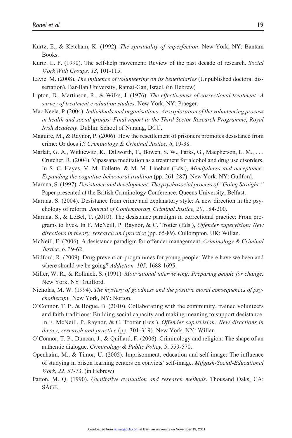- Kurtz, E., & Ketcham, K. (1992). *The spirituality of imperfection*. New York, NY: Bantam Books.
- Kurtz, L. F. (1990). The self-help movement: Review of the past decade of research. *Social Work With Groups, 13*, 101-115.
- Lavie, M. (2008). *The influence of volunteering on its beneficiaries* (Unpublished doctoral dissertation). Bar-Ilan University, Ramat-Gan, Israel. (in Hebrew)
- Lipton, D., Martinson, R., & Wilks, J. (1976). *The effectiveness of correctional treatment: A survey of treatment evaluation studies*. New York, NY: Praeger.
- Mac Neela, P. (2004). *Individuals and organisations: An exploration of the volunteering process in health and social groups: Final report to the Third Sector Research Programme, Royal Irish Academy*. Dublin: School of Nursing, DCU.
- Maguire, M., & Raynor, P. (2006). How the resettlement of prisoners promotes desistance from crime: Or does it? *Criminology & Criminal Justice, 6*, 19-38.
- Marlatt, G. A., Witkiewitz, K., Dillworth, T., Bowen, S. W., Parks, G., Macpherson, L. M., ... Crutcher, R. (2004). Vipassana meditation as a treatment for alcohol and drug use disorders. In S. C. Hayes, V. M. Follette, & M. M. Linehan (Eds.), *Mindfulness and acceptance: Expanding the cognitive-behavioral tradition* (pp. 261-287). New York, NY: Guilford.
- Maruna, S. (1997). *Desistance and development: The psychosocial process of "Going Straight."* Paper presented at the British Criminology Conference, Queens University, Belfast.
- Maruna, S. (2004). Desistance from crime and explanatory style: A new direction in the psychology of reform. *Journal of Contemporary Criminal Justice, 20*, 184-200.
- Maruna, S., & LeBel, T. (2010). The desistance paradigm in correctional practice: From programs to lives. In F. McNeill, P. Raynor, & C. Trotter (Eds.), *Offender supervision: New directions in theory, research and practice* (pp. 65-89). Cullompton, UK: Willan.
- McNeill, F. (2006). A desistance paradigm for offender management. *Criminology & Criminal Justice, 6*, 39-62.
- Midford, R. (2009). Drug prevention programmes for young people: Where have we been and where should we be going? *Addiction, 105*, 1688-1695.
- Miller, W. R., & Rollnick, S. (1991). *Motivational interviewing: Preparing people for change.* New York, NY: Guilford.
- Nicholas, M. W. (1994). *The mystery of goodness and the positive moral consequences of psychotherapy*. New York, NY: Norton.
- O'Connor, T. P., & Bogue, B. (2010). Collaborating with the community, trained volunteers and faith traditions: Building social capacity and making meaning to support desistance. In F. McNeill, P. Raynor, & C. Trotter (Eds.), *Offender supervision: New directions in theory, research and practice* (pp. 301-319). New York, NY: Willan.
- O'Connor, T. P., Duncan, J., & Quillard, F. (2006). Criminology and religion: The shape of an authentic dialogue. *Criminology & Public Policy, 5*, 559-570.
- Openhaim, M., & Timor, U. (2005). Imprisonment, education and self-image: The influence of studying in prison learning centers on convicts' self-image. *Mifgash-Social-Educational Work, 22*, 57-73. (in Hebrew)
- Patton, M. Q. (1990). *Qualitative evaluation and research methods*. Thousand Oaks, CA: SAGE.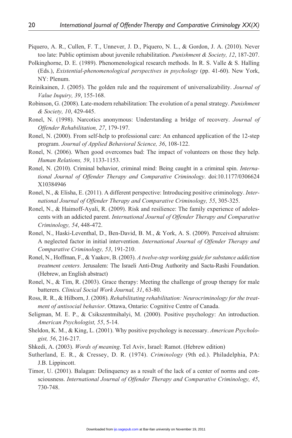- Piquero, A. R., Cullen, F. T., Unnever, J. D., Piquero, N. L., & Gordon, J. A. (2010). Never too late: Public optimism about juvenile rehabilitation. *Punishment & Society, 12*, 187-207.
- Polkinghorne, D. E. (1989). Phenomenological research methods. In R. S. Valle & S. Halling (Eds.), *Existential-phenomenological perspectives in psychology* (pp. 41-60). New York, NY: Plenum.
- Reinikainen, J. (2005). The golden rule and the requirement of universalizability. *Journal of Value Inquiry, 39*, 155-168.
- Robinson, G. (2008). Late-modern rehabilitation: The evolution of a penal strategy. *Punishment & Society, 10*, 429-445.
- Ronel, N. (1998). Narcotics anonymous: Understanding a bridge of recovery. *Journal of Offender Rehabilitation, 27*, 179-197.
- Ronel, N. (2000). From self-help to professional care: An enhanced application of the 12-step program. *Journal of Applied Behavioral Science, 36*, 108-122.
- Ronel, N. (2006). When good overcomes bad: The impact of volunteers on those they help. *Human Relations, 59*, 1133-1153.
- Ronel, N. (2010). Criminal behavior, criminal mind: Being caught in a criminal spin. *International Journal of Offender Therapy and Comparative Criminology*. doi:10.1177/0306624 X10384946
- Ronel, N., & Elisha, E. (2011). A different perspective: Introducing positive criminology. *International Journal of Offender Therapy and Comparative Criminology, 55*, 305-325.
- Ronel, N., & Haimoff-Ayali, R. (2009). Risk and resilience: The family experience of adolescents with an addicted parent. *International Journal of Offender Therapy and Comparative Criminology, 54*, 448-472.
- Ronel, N., Haski-Leventhal, D., Ben-David, B. M., & York, A. S. (2009). Perceived altruism: A neglected factor in initial intervention. *International Journal of Offender Therapy and Comparative Criminology, 53*, 191-210.
- Ronel, N., Hoffman, F., & Yaakov, B. (2003). *A twelve-step working guide for substance addiction treatment centers*. Jerusalem: The Israeli Anti-Drug Authority and Sacta-Rashi Foundation. (Hebrew, an English abstract)
- Ronel, N., & Tim, R. (2003). Grace therapy: Meeting the challenge of group therapy for male batterers. *Clinical Social Work Journal, 31*, 63-80.
- Ross, R. R., & Hilborn, J. (2008). *Rehabilitating rehabilitation: Neurocriminology for the treatment of antisocial behavior*. Ottawa, Ontario: Cognitive Centre of Canada.
- Seligman, M. E. P., & Csikszentmihalyi, M. (2000). Positive psychology: An introduction. *American Psychologist, 55*, 5-14.
- Sheldon, K. M., & King, L. (2001). Why positive psychology is necessary. *American Psychologist, 56*, 216-217.
- Shkedi, A. (2003). *Words of meaning*. Tel Aviv, Israel: Ramot. (Hebrew edition)
- Sutherland, E. R., & Cressey, D. R. (1974). *Criminology* (9th ed.). Philadelphia, PA: J.B. Lippincott.
- Timor, U. (2001). Balagan: Delinquency as a result of the lack of a center of norms and consciousness. *International Journal of Offender Therapy and Comparative Criminology, 45*, 730-748.